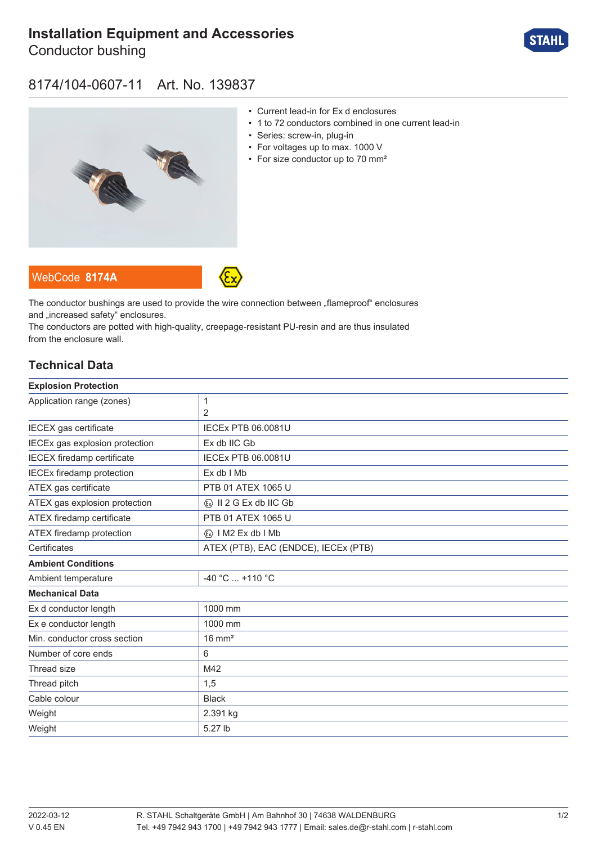# **[Installation Equipment and Accessories](https://r-stahl.com/en/global/products/materialid/139837)**

Conductor bushing



### 8174/104-0607-11 Art. No. 139837



- Current lead-in for Ex d enclosures
- 1 to 72 conductors combined in one current lead-in
- Series: screw-in, plug-in
- For voltages up to max. 1000 V
- For size conductor up to 70 mm<sup>2</sup>

The conductor bushings are used to provide the wire connection between "flameproof" enclosures and .increased safety" enclosures.

The conductors are potted with high-quality, creepage-resistant PU-resin and are thus insulated from the enclosure wall.

#### **Technical Data**

WebCode **[8174A](https://r-stahl.com/en/global/products/downloads/webcode/8174A)**

| <b>Explosion Protection</b>       |                                         |
|-----------------------------------|-----------------------------------------|
| Application range (zones)         | $\mathbf{1}$                            |
|                                   | 2                                       |
| IECEX gas certificate             | <b>IECEX PTB 06.0081U</b>               |
| IECEx gas explosion protection    | Ex db IIC Gb                            |
| <b>IECEX</b> firedamp certificate | <b>IECEX PTB 06.0081U</b>               |
| <b>IECEx firedamp protection</b>  | Ex db I Mb                              |
| ATEX gas certificate              | PTB 01 ATEX 1065 U                      |
| ATEX gas explosion protection     | $\langle x \rangle$ II 2 G Ex db IIC Gb |
| ATEX firedamp certificate         | PTB 01 ATEX 1065 U                      |
| ATEX firedamp protection          | $\langle x \rangle$   M2 Ex db   Mb     |
| Certificates                      | ATEX (PTB), EAC (ENDCE), IECEx (PTB)    |
| <b>Ambient Conditions</b>         |                                         |
| Ambient temperature               | -40 °C  +110 °C                         |
| <b>Mechanical Data</b>            |                                         |
| Ex d conductor length             | 1000 mm                                 |
| Ex e conductor length             | 1000 mm                                 |
| Min. conductor cross section      | $16 \text{ mm}^2$                       |
| Number of core ends               | 6                                       |
| Thread size                       | M42                                     |
| Thread pitch                      | 1,5                                     |
| Cable colour                      | <b>Black</b>                            |
| Weight                            | 2.391 kg                                |
| Weight                            | 5.27 lb                                 |